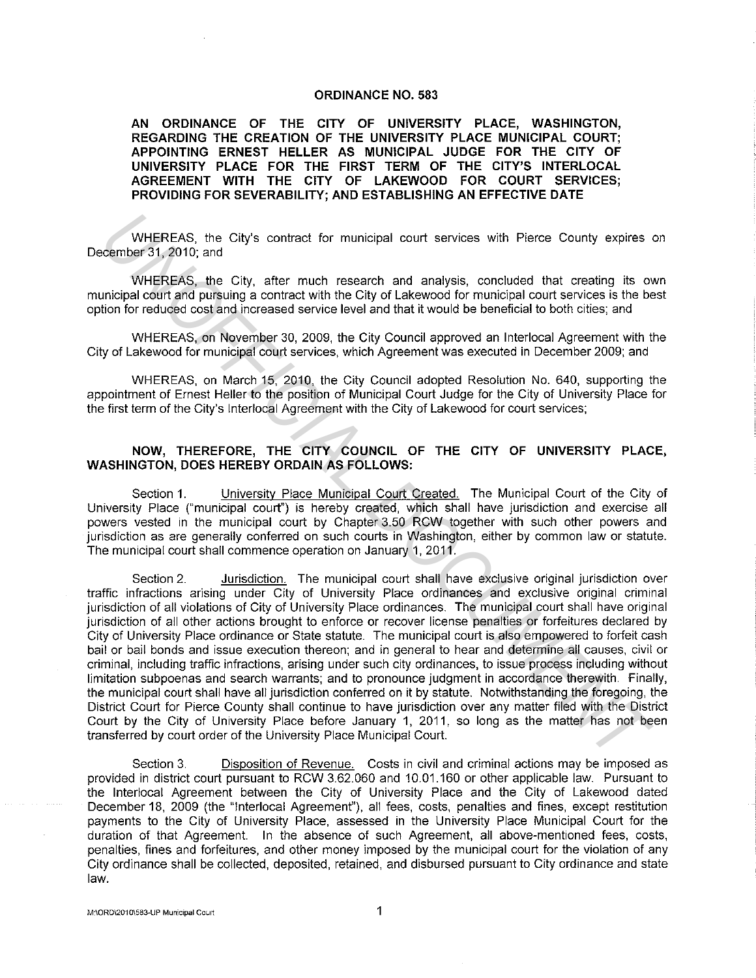## **ORDINANCE NO. 583**

**AN ORDINANCE OF THE CITY OF UNIVERSITY PLACE, WASHINGTON, REGARDING THE CREATION OF THE UNIVERSITY PLACE MUNICIPAL COURT; APPOINTING ERNEST HELLER AS MUNICIPAL JUDGE FOR THE CITY OF UNIVERSITY PLACE FOR THE FIRST TERM OF THE CITY'S INTERLOCAL AGREEMENT WITH THE CITY OF LAKEWOOD FOR COURT SERVICES; PROVIDING FOR SEVERABILITY; AND ESTABLISHING AN EFFECTIVE DATE** 

WHEREAS, the City's contract for municipal court services with Pierce County expires on December 31, 2010; and

WHEREAS, the City, after much research and analysis, concluded that creating its own municipal court and pursuing a contract with the City of Lakewood for municipal court services is the best option for reduced cost and increased service level and that it would be beneficial to both cities; and

WHEREAS, on November 30, 2009, the City Council approved an lnterlocal Agreement with the City of Lakewood for municipal court services, which Agreement was executed in December 2009; and

WHEREAS, on March 15, 2010, the City Council adopted Resolution No. 640, supporting the appointment of Ernest Heller to the position of Municipal Court Judge for the City of University Place for the first term of the City's lnterlocal Agreement with the City of Lakewood for court services;

## **NOW, THEREFORE, THE CITY COUNCIL OF THE CITY OF UNIVERSITY PLACE, WASHINGTON, DOES HEREBY ORDAIN AS FOLLOWS:**

Section **1.** University Place Municipal Court Created. The Municipal Court of the City of University Place ("municipal court") is hereby created, which shall have jurisdiction and exercise all powers vested in the municipal court by Chapter 3.50 RCW together with such other powers and jurisdiction as are generally conferred on such courts in Washington, either by common law or statute. The municipal court shall commence operation on January 1, 2011.

Section 2. Jurisdiction. The municipal court shall have exclusive original jurisdiction over traffic infractions arising under City of University Place ordinances and exclusive original criminal jurisdiction of all violations of City of University Place ordinances. The municipal court shall have original jurisdiction of all other actions brought to enforce or recover license penalties or forfeitures declared by City of University Place ordinance or State statute. The municipal court is also empowered to forfeit cash bail or bail bonds and issue execution thereon; and in general to hear and determine all causes, civil or criminal, including traffic infractions, arising under such city ordinances, to issue process including without limitation subpoenas and search warrants; and to pronounce judgment in accordance therewith. Finally, the municipal court shall have all jurisdiction conferred on it by statute. Notwithstanding the foregoing, the District Court for Pierce County shall continue to have jurisdiction over any matter filed with the District Court by the City of University Place before January **1,** 2011, so long as the matter has not been transferred by court order of the University Place Municipal Court. WHEREAS, the City's contract for municipal court services with Pierce County expires<br>center's 1, 2010; and<br>experiment of 1,2010; and<br>unicipal contract gas, the City, after much research and analysis, concluded that creatin

Section 3. Disposition of Revenue. Costs in civil and criminal actions may be imposed as provided in district court pursuant to RCW 3.62.060 and 10.01.160 or other applicable law. Pursuant to the lnterlocal Agreement between the City of University Place and the City of Lakewood dated December 18, 2009 (the "Interlocal Agreement"), all fees, costs, penalties and fines, except restitution payments to the City of University Place, assessed in the University Place Municipal Court for the duration of that Agreement. In the absence of such Agreement, all above-mentioned fees, costs, penalties, fines and forfeitures, and other money imposed by the municipal court for the violation of any City ordinance shall be collected, deposited, retained, and disbursed pursuant to City ordinance and state law.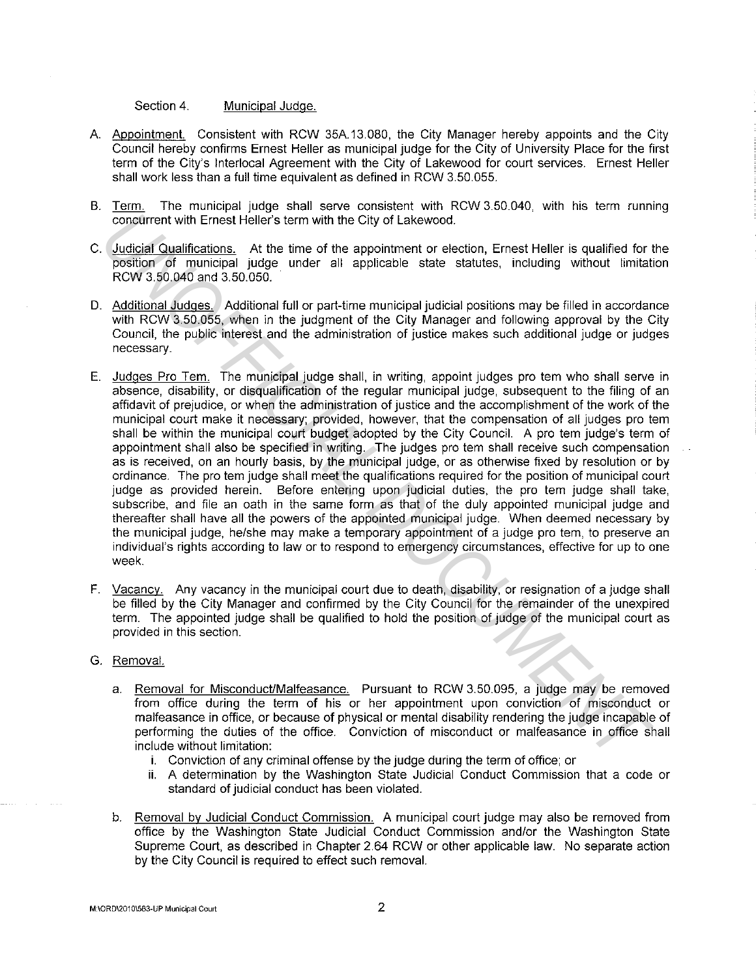Section 4. Municipal Judge.

- A. Appointment. Consistent with RCW 35A.13.080, the City Manager hereby appoints and the City Council hereby confirms Ernest Heller as municipal judge for the City of University Place for the first term of the City's lnterlocal Agreement with the City of Lakewood for court services. Ernest Heller shall work less than a full time equivalent as defined in RCW 3.50.055.
- B. Term. The municipal judge shall serve consistent with RCW 3.50.040, with his term running concurrent with Ernest Heller's term with the City of Lakewood.
- C. Judicial Qualifications. At the time of the appointment or election, Ernest Heller is qualified for the position of municipal judge under all applicable state statutes, including without limitation RCW 3.50.040 and 3.50.050.
- D. Additional Judges. Additional full or part-time municipal judicial positions may be filled in accordance with RCW 3.50.055, when in the judgment of the City Manager and following approval by the City Council, the public interest and the administration of justice makes such additional judge or judges necessary.
- E. Judges Pro Tern. The municipal judge shall, in writing, appoint judges pro tern who shall serve in absence, disability, or disqualification of the regular municipal judge, subsequent to the filing of an affidavit of prejudice, or when the administration of justice and the accomplishment of the work of the municipal court make it necessary; provided, however, that the compensation of all judges pro tern shall be within the municipal court budget adopted by the City Council. A pro tern judge's term of appointment shall also be specified in writing. The judges pro tern shall receive such compensation as is received, on an hourly basis, by the municipal judge, or as otherwise fixed by resolution or by ordinance. The pro tern judge shall meet the qualifications required for the position of municipal court judge as provided herein. Before entering upon judicial duties, the pro tern judge shall take, subscribe, and file an oath in the same form as that of the duly appointed municipal judge and thereafter shall have all the powers of the appointed municipal judge. When deemed necessary by the municipal judge, he/she may make a temporary appointment of a judge pro tern, to preserve an individual's rights according to law or to respond to emergency circumstances, effective for up to one week. concurrent with Emerst Heller's term with the City of Lakewood.<br>
Judicial Qualifications, At the three of the appointment or election, Emerst Heller is qualified for<br>
Judicial Qualifieds and 3.50.065.<br>
Modision of municipa
- F. Vacancy. Any vacancy in the municipal court due to death, disability, or resignation of a judge shall be filled by the City Manager and confirmed by the City Council for the remainder of the unexpired term. The appointed judge shall be qualified to hold the position of judge of the municipal court as provided in this section.
- G. Removal.
	- a. Removal for Misconduct/Malfeasance. Pursuant to RCW 3.50.095, a judge may be removed from office during the term of his or her appointment upon conviction of misconduct or malfeasance in office, or because of physical or mental disability rendering the judge incapable of performing the duties of the office. Conviction of misconduct or malfeasance in office shall include without limitation:
		- i. Conviction of any criminal offense by the judge during the term of office; or
		- ii. A determination by the Washington State Judicial Conduct Commission that a code or standard of judicial conduct has been violated.
	- b. Removal by Judicial Conduct Commission. A municipal court judge may also be removed from office by the Washington State Judicial Conduct Commission and/or the Washington State Supreme Court, as described in Chapter 2.64 RCW or other applicable law. No separate action by the City Council is required to effect such removal.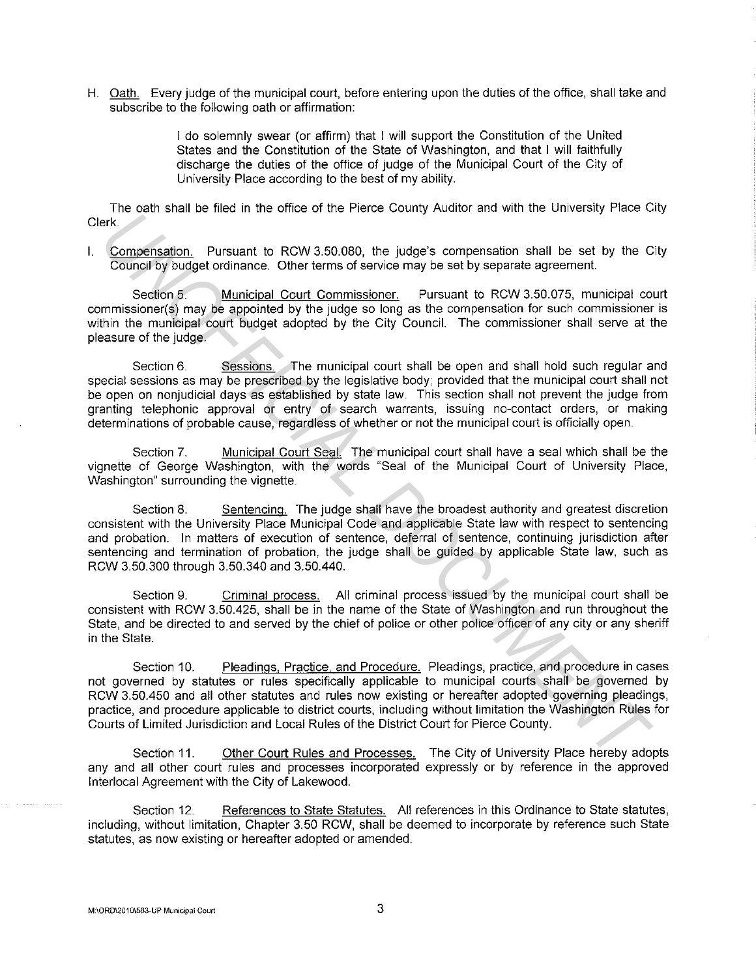H. Oath. Every judge of the municipal court, before entering upon the duties of the office, shall take and subscribe to the following oath or affirmation:

> I do solemnly swear (or affirm) that I will support the Constitution of the United States and the Constitution of the State of Washington, and that I will faithfully discharge the duties of the office of judge of the Municipal Court of the City of University Place according to the best of my ability.

The oath shall be filed in the office of the Pierce County Auditor and with the University Place City Clerk.

I. Compensation. Pursuant to RCW 3.50.080, the judge's compensation shall be set by the City Council by budget ordinance. Other terms of service may be set by separate agreement.

Section 5. Municipal Court Commissioner. Pursuant to RCW 3.50.075, municipal court commissioner(s) may be appointed by the judge so long as the compensation for such commissioner is within the municipal court budget adopted by the City Council. The commissioner shall serve at the pleasure of the judge.

Section 6. Sessions. The municipal court shall be open and shall hold such regular and special sessions as may be prescribed by the legislative body; provided that the municipal court shall not be open on nonjudicial days as established by state law. This section shall not prevent the judge from granting telephonic approval or entry of search warrants, issuing no-contact orders, or making determinations of probable cause, regardless of whether or not the municipal court is officially open. erk.<br>
Compensation, Pursuant to Rob and the Shot of the players compensation shall be set by the Courcillar behind the Rob and the Society of Courcillar Court Commissioner. Pursuant to RCW 3.50.075, municipal court Minicle

Section 7. Municipal Court Seal. The municipal court shall have a seal which shall be the vignette of George Washington, with the words "Seal of the Municipal Court of University Place, Washington" surrounding the vignette.

Section 8. Sentencing. The judge shall have the broadest authority and greatest discretion consistent with the University Place Municipal Code and applicable State law with respect to sentencing and probation. In matters of execution of sentence, deferral of sentence, continuing jurisdiction after sentencing and termination of probation, the judge shall be guided by applicable State law, such as RCW 3.50.300 through 3.50.340 and 3.50.440.

Section 9. Criminal process. All criminal process issued by the municipal court shall be consistent with RCW 3.50.425, shall be in the name of the State of Washington and run throughout the State, and be directed to and served by the chief of police or other police officer of any city or any sheriff in the State.

Section 10. Pleadings, Practice, and Procedure. Pleadings, practice, and procedure in cases not governed by statutes or rules specifically applicable to municipal courts shall be governed by RCW 3.50.450 and all other statutes and rules now existing or hereafter adopted governing pleadings, practice, and procedure applicable to district courts, including without limitation the Washington Rules for Courts of Limited Jurisdiction and Local Rules of the District Court for Pierce County.

Section 11. Other Court Rules and Processes. The City of University Place hereby adopts any and all other court rules and processes incorporated expressly or by reference in the approved lnterlocal Agreement with the City of Lakewood.

Section 12. References to State Statutes. All references in this Ordinance to State statutes, including, without limitation, Chapter 3.50 RCW, shall be deemed to incorporate by reference such State statutes, as now existing or hereafter adopted or amended.